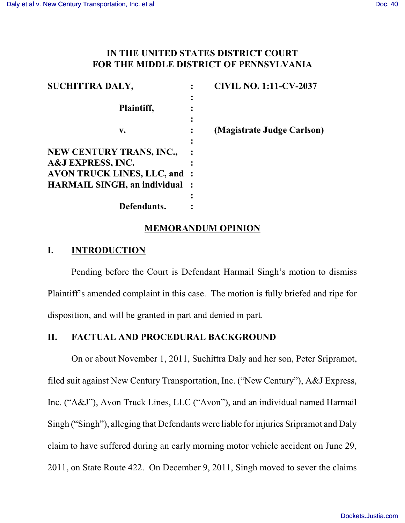# **IN THE UNITED STATES DISTRICT COURT FOR THE MIDDLE DISTRICT OF PENNSYLVANIA**

| <b>SUCHITTRA DALY,</b>                | <b>CIVIL NO. 1:11-CV-2037</b> |
|---------------------------------------|-------------------------------|
|                                       |                               |
| Plaintiff,                            |                               |
|                                       |                               |
| v.                                    | (Magistrate Judge Carlson)    |
|                                       |                               |
| <b>NEW CENTURY TRANS, INC.,</b>       |                               |
| <b>A&amp;J EXPRESS, INC.</b>          |                               |
| <b>AVON TRUCK LINES, LLC, and:</b>    |                               |
| <b>HARMAIL SINGH, an individual :</b> |                               |
|                                       |                               |
| Defendants.                           |                               |

## **MEMORANDUM OPINION**

## **I. INTRODUCTION**

Pending before the Court is Defendant Harmail Singh's motion to dismiss Plaintiff's amended complaint in this case. The motion is fully briefed and ripe for disposition, and will be granted in part and denied in part.

## **II. FACTUAL AND PROCEDURAL BACKGROUND**

On or about November 1, 2011, Suchittra Daly and her son, Peter Sripramot, filed suit against New Century Transportation, Inc. ("New Century"), A&J Express, Inc. ("A&J"), Avon Truck Lines, LLC ("Avon"), and an individual named Harmail Singh ("Singh"), alleging that Defendants were liable for injuries Sripramot and Daly claim to have suffered during an early morning motor vehicle accident on June 29, 2011, on State Route 422. On December 9, 2011, Singh moved to sever the claims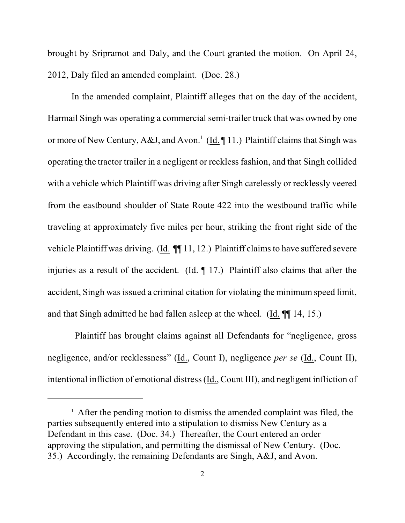brought by Sripramot and Daly, and the Court granted the motion. On April 24, 2012, Daly filed an amended complaint. (Doc. 28.)

In the amended complaint, Plaintiff alleges that on the day of the accident, Harmail Singh was operating a commercial semi-trailer truck that was owned by one or more of New Century, A&J, and Avon.<sup>1</sup> (Id. ¶ 11.) Plaintiff claims that Singh was operating the tractor trailer in a negligent or reckless fashion, and that Singh collided with a vehicle which Plaintiff was driving after Singh carelessly or recklessly veered from the eastbound shoulder of State Route 422 into the westbound traffic while traveling at approximately five miles per hour, striking the front right side of the vehicle Plaintiff was driving. (Id. ¶¶ 11, 12.) Plaintiff claims to have suffered severe injuries as a result of the accident. (Id. ¶ 17.) Plaintiff also claims that after the accident, Singh was issued a criminal citation for violating the minimum speed limit, and that Singh admitted he had fallen asleep at the wheel. (Id. ¶¶ 14, 15.)

Plaintiff has brought claims against all Defendants for "negligence, gross negligence, and/or recklessness" (Id., Count I), negligence *per se* (Id., Count II), intentional infliction of emotional distress (Id., Count III), and negligent infliction of

 $\frac{1}{1}$  After the pending motion to dismiss the amended complaint was filed, the parties subsequently entered into a stipulation to dismiss New Century as a Defendant in this case. (Doc. 34.) Thereafter, the Court entered an order approving the stipulation, and permitting the dismissal of New Century. (Doc. 35.) Accordingly, the remaining Defendants are Singh, A&J, and Avon.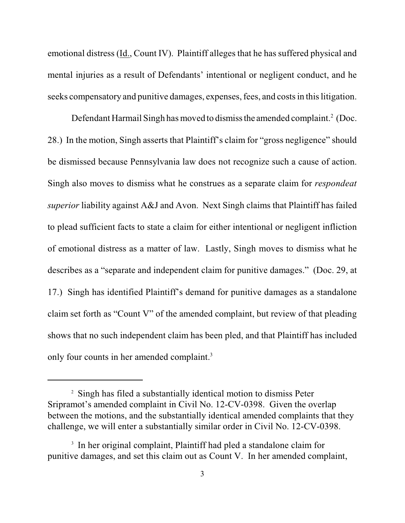emotional distress (Id., Count IV). Plaintiff alleges that he has suffered physical and mental injuries as a result of Defendants' intentional or negligent conduct, and he seeks compensatory and punitive damages, expenses, fees, and costs in this litigation.

Defendant Harmail Singh has moved to dismiss the amended complaint.<sup>2</sup> (Doc. 28.) In the motion, Singh asserts that Plaintiff's claim for "gross negligence" should be dismissed because Pennsylvania law does not recognize such a cause of action. Singh also moves to dismiss what he construes as a separate claim for *respondeat superior* liability against A&J and Avon. Next Singh claims that Plaintiff has failed to plead sufficient facts to state a claim for either intentional or negligent infliction of emotional distress as a matter of law. Lastly, Singh moves to dismiss what he describes as a "separate and independent claim for punitive damages." (Doc. 29, at 17.) Singh has identified Plaintiff's demand for punitive damages as a standalone claim set forth as "Count V" of the amended complaint, but review of that pleading shows that no such independent claim has been pled, and that Plaintiff has included only four counts in her amended complaint.<sup>3</sup>

<sup>&</sup>lt;sup>2</sup> Singh has filed a substantially identical motion to dismiss Peter Sripramot's amended complaint in Civil No. 12-CV-0398. Given the overlap between the motions, and the substantially identical amended complaints that they challenge, we will enter a substantially similar order in Civil No. 12-CV-0398.

<sup>&</sup>lt;sup>3</sup> In her original complaint, Plaintiff had pled a standalone claim for punitive damages, and set this claim out as Count V. In her amended complaint,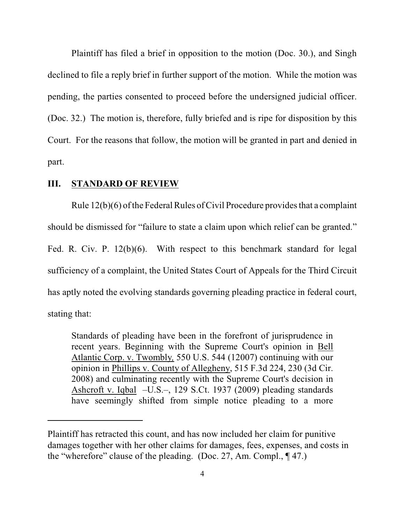Plaintiff has filed a brief in opposition to the motion (Doc. 30.), and Singh declined to file a reply brief in further support of the motion. While the motion was pending, the parties consented to proceed before the undersigned judicial officer. (Doc. 32.) The motion is, therefore, fully briefed and is ripe for disposition by this Court. For the reasons that follow, the motion will be granted in part and denied in part.

### **III. STANDARD OF REVIEW**

Rule  $12(b)(6)$  of the Federal Rules of Civil Procedure provides that a complaint should be dismissed for "failure to state a claim upon which relief can be granted." Fed. R. Civ. P. 12(b)(6). With respect to this benchmark standard for legal sufficiency of a complaint, the United States Court of Appeals for the Third Circuit has aptly noted the evolving standards governing pleading practice in federal court, stating that:

Standards of pleading have been in the forefront of jurisprudence in recent years. Beginning with the Supreme Court's opinion in [Bell](http://www.westlaw.com/Find/Default.wl?rs=dfa1.0&vr=2.0&DB=708&FindType=Y&SerialNum=2012293296) [Atlantic Corp. v. Twombly](http://www.westlaw.com/Find/Default.wl?rs=dfa1.0&vr=2.0&DB=708&FindType=Y&SerialNum=2012293296)*,* 550 U.S. 544 (12007) continuing with our opinion in Phillips v. County of Allegheny, 515 F.3d 224, 230 (3d Cir. 2008) and culminating recently with the Supreme Court's decision in [Ashcroft v. Iqbal](http://www.westlaw.com/Find/Default.wl?rs=dfa1.0&vr=2.0&DB=708&FindType=Y&ReferencePositionType=S&SerialNum=2018848474&ReferencePosition=1955) –U.S.–, 129 S.Ct. 1937 (2009) pleading standards have seemingly shifted from simple notice pleading to a more

Plaintiff has retracted this count, and has now included her claim for punitive damages together with her other claims for damages, fees, expenses, and costs in the "wherefore" clause of the pleading. (Doc. 27, Am. Compl., ¶ 47.)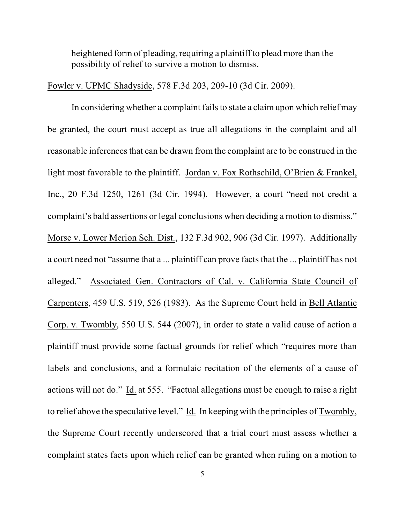heightened form of pleading, requiring a plaintiff to plead more than the possibility of relief to survive a motion to dismiss.

Fowler v. UPMC Shadyside, 578 F.3d 203, 209-10 (3d Cir. 2009).

In considering whether a complaint fails to state a claim upon which relief may be granted, the court must accept as true all allegations in the complaint and all reasonable inferences that can be drawn from the complaint are to be construed in the light most favorable to the plaintiff. Jordan v. Fox Rothschild, O'Brien & Frankel, Inc., 20 F.3d 1250, 1261 (3d Cir. 1994). However, a court "need not credit a complaint's bald assertions or legal conclusions when deciding a motion to dismiss." Morse v. Lower Merion Sch. Dist., 132 F.3d 902, 906 (3d Cir. 1997). Additionally a court need not "assume that a ... plaintiff can prove facts that the ... plaintiff has not alleged." Associated Gen. Contractors of Cal. v. California State Council of Carpenters, 459 U.S. 519, 526 (1983). As the Supreme Court held in Bell Atlantic Corp. v. Twombly, 550 U.S. 544 (2007), in order to state a valid cause of action a plaintiff must provide some factual grounds for relief which "requires more than labels and conclusions, and a formulaic recitation of the elements of a cause of actions will not do." Id. at 555. "Factual allegations must be enough to raise a right to relief above the speculative level." Id. In keeping with the principles of Twombly, the Supreme Court recently underscored that a trial court must assess whether a complaint states facts upon which relief can be granted when ruling on a motion to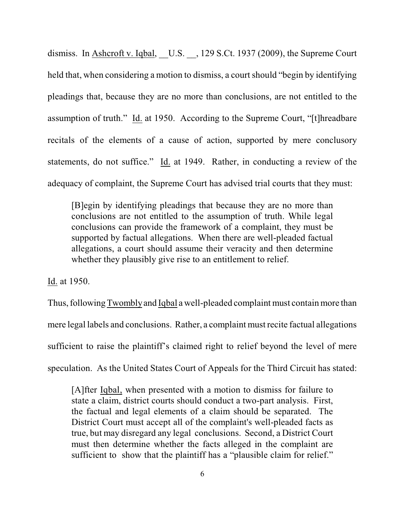dismiss. In Ashcroft v. Iqbal, U.S. , 129 S.Ct. 1937 (2009), the Supreme Court held that, when considering a motion to dismiss, a court should "begin by identifying pleadings that, because they are no more than conclusions, are not entitled to the assumption of truth." Id. at 1950. According to the Supreme Court, "[t]hreadbare recitals of the elements of a cause of action, supported by mere conclusory statements, do not suffice." Id. at 1949. Rather, in conducting a review of the adequacy of complaint, the Supreme Court has advised trial courts that they must:

[B]egin by identifying pleadings that because they are no more than conclusions are not entitled to the assumption of truth. While legal conclusions can provide the framework of a complaint, they must be supported by factual allegations. When there are well-pleaded factual allegations, a court should assume their veracity and then determine whether they plausibly give rise to an entitlement to relief.

Id. at 1950.

Thus, followingTwomblyand Iqbal a well-pleaded complaint must contain more than mere legal labels and conclusions. Rather, a complaint must recite factual allegations sufficient to raise the plaintiff's claimed right to relief beyond the level of mere speculation. As the United States Court of Appeals for the Third Circuit has stated:

[A]fter [Iqbal,](http://www.westlaw.com/Find/Default.wl?rs=dfa1.0&vr=2.0&FindType=Y&SerialNum=2018848474) when presented with a motion to dismiss for failure to state a claim, district courts should conduct a two-part analysis. First, the factual and legal elements of a claim should be separated. The District Court must accept all of the complaint's well-pleaded facts as true, but may disregard any legal conclusions. Second, a District Court must then determine whether the facts alleged in the complaint are sufficient to show that the plaintiff has a "plausible claim for relief."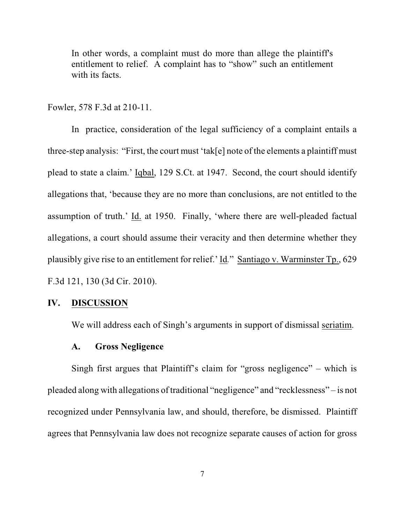In other words, a complaint must do more than allege the plaintiff's entitlement to relief. A complaint has to "show" such an entitlement with its facts.

Fowler, 578 F.3d at 210-11.

In practice, consideration of the legal sufficiency of a complaint entails a three-step analysis: "First, the court must 'tak[e] note of the elements a plaintiff must plead to state a claim.' Iqbal, 129 S.Ct. at 1947. Second, the court should identify allegations that, 'because they are no more than conclusions, are not entitled to the assumption of truth.' Id. at 1950. Finally, 'where there are well-pleaded factual allegations, a court should assume their veracity and then determine whether they plausibly give rise to an entitlement for relief.' Id*.*" Santiago v. Warminster Tp., 629 F.3d 121, 130 (3d Cir. 2010).

## **IV. DISCUSSION**

We will address each of Singh's arguments in support of dismissal seriatim.

# **A. Gross Negligence**

Singh first argues that Plaintiff's claim for "gross negligence" – which is pleaded along with allegations of traditional "negligence" and "recklessness" – is not recognized under Pennsylvania law, and should, therefore, be dismissed. Plaintiff agrees that Pennsylvania law does not recognize separate causes of action for gross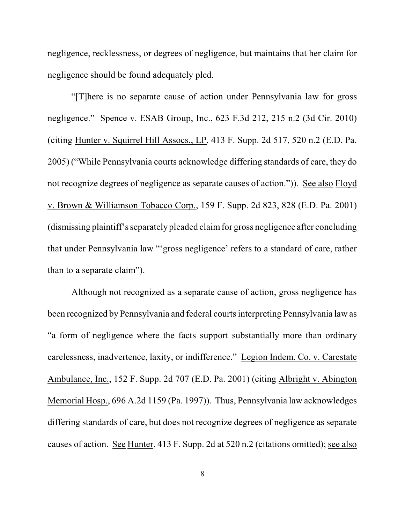negligence, recklessness, or degrees of negligence, but maintains that her claim for negligence should be found adequately pled.

"[T]here is no separate cause of action under Pennsylvania law for gross negligence." Spence v. ESAB Group, Inc., 623 F.3d 212, 215 n.2 (3d Cir. 2010) (citing Hunter v. Squirrel Hill Assocs., LP, 413 F. Supp. 2d 517, 520 n.2 (E.D. Pa. 2005) ("While Pennsylvania courts acknowledge differing standards of care, they do not recognize degrees of negligence as separate causes of action.")). See also Floyd v. Brown & Williamson Tobacco Corp., 159 F. Supp. 2d 823, 828 (E.D. Pa. 2001) (dismissing plaintiff's separately pleaded claimfor gross negligence after concluding that under Pennsylvania law "'gross negligence' refers to a standard of care, rather than to a separate claim").

Although not recognized as a separate cause of action, gross negligence has been recognized by Pennsylvania and federal courts interpreting Pennsylvania law as "a form of negligence where the facts support substantially more than ordinary carelessness, inadvertence, laxity, or indifference." Legion Indem. Co. v. Carestate Ambulance, Inc., 152 F. Supp. 2d 707 (E.D. Pa. 2001) (citing Albright v. Abington Memorial Hosp., 696 A.2d 1159 (Pa. 1997)). Thus, Pennsylvania law acknowledges differing standards of care, but does not recognize degrees of negligence as separate causes of action. See Hunter, 413 F. Supp. 2d at 520 n.2 (citations omitted); see also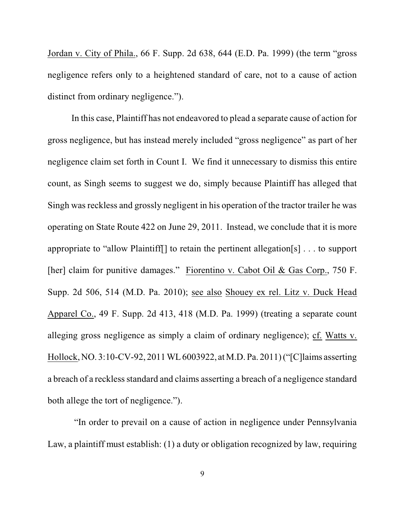Jordan v. City of Phila., 66 F. Supp. 2d 638, 644 (E.D. Pa. 1999) (the term "gross negligence refers only to a heightened standard of care, not to a cause of action distinct from ordinary negligence.").

In this case, Plaintiff has not endeavored to plead a separate cause of action for gross negligence, but has instead merely included "gross negligence" as part of her negligence claim set forth in Count I. We find it unnecessary to dismiss this entire count, as Singh seems to suggest we do, simply because Plaintiff has alleged that Singh was reckless and grossly negligent in his operation of the tractor trailer he was operating on State Route 422 on June 29, 2011. Instead, we conclude that it is more appropriate to "allow Plaintiff[] to retain the pertinent allegation[s] . . . to support [her] claim for punitive damages." Fiorentino v. Cabot Oil & Gas Corp., 750 F. Supp. 2d 506, 514 (M.D. Pa. 2010); see also Shouey ex rel. Litz v. Duck Head Apparel Co., 49 F. Supp. 2d 413, 418 (M.D. Pa. 1999) (treating a separate count alleging gross negligence as simply a claim of ordinary negligence); cf. Watts v. Hollock, NO. 3:10-CV-92, 2011WL6003922, at M.D. Pa. 2011) ("[C]laims asserting a breach of a reckless standard and claims asserting a breach of a negligence standard both allege the tort of negligence.").

"In order to prevail on a cause of action in negligence under Pennsylvania Law, a plaintiff must establish: (1) a duty or obligation recognized by law, requiring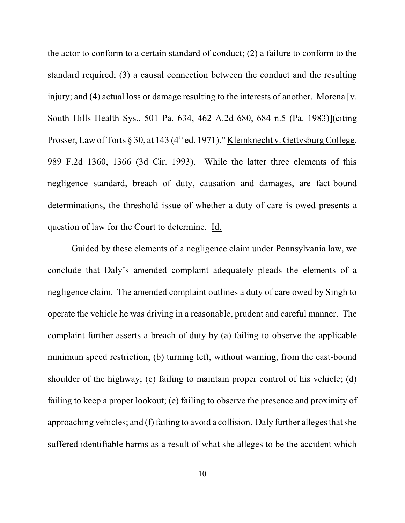the actor to conform to a certain standard of conduct; (2) a failure to conform to the standard required; (3) a causal connection between the conduct and the resulting injury; and (4) actual loss or damage resulting to the interests of another. Morena [v. South Hills Health Sys., 501 Pa. 634, 462 A.2d 680, 684 n.5 (Pa. 1983)](citing Prosser, Law of Torts  $\S 30$ , at 143 (4<sup>th</sup> ed. 1971)." Kleinknecht v. Gettysburg College, 989 F.2d 1360, 1366 (3d Cir. 1993). While the latter three elements of this negligence standard, breach of duty, causation and damages, are fact-bound determinations, the threshold issue of whether a duty of care is owed presents a question of law for the Court to determine. Id.

Guided by these elements of a negligence claim under Pennsylvania law, we conclude that Daly's amended complaint adequately pleads the elements of a negligence claim. The amended complaint outlines a duty of care owed by Singh to operate the vehicle he was driving in a reasonable, prudent and careful manner. The complaint further asserts a breach of duty by (a) failing to observe the applicable minimum speed restriction; (b) turning left, without warning, from the east-bound shoulder of the highway; (c) failing to maintain proper control of his vehicle; (d) failing to keep a proper lookout; (e) failing to observe the presence and proximity of approaching vehicles; and (f) failing to avoid a collision. Daly further alleges thatshe suffered identifiable harms as a result of what she alleges to be the accident which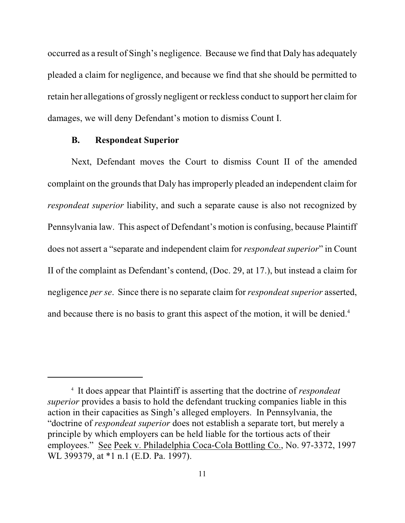occurred as a result of Singh's negligence. Because we find that Daly has adequately pleaded a claim for negligence, and because we find that she should be permitted to retain her allegations of grossly negligent or reckless conduct to support her claimfor damages, we will deny Defendant's motion to dismiss Count I.

#### **B. Respondeat Superior**

Next, Defendant moves the Court to dismiss Count II of the amended complaint on the grounds that Daly has improperly pleaded an independent claim for *respondeat superior* liability, and such a separate cause is also not recognized by Pennsylvania law. This aspect of Defendant's motion is confusing, because Plaintiff does not assert a "separate and independent claim for *respondeat superior*" in Count II of the complaint as Defendant's contend, (Doc. 29, at 17.), but instead a claim for negligence *per se*. Since there is no separate claim for *respondeat superior* asserted, and because there is no basis to grant this aspect of the motion, it will be denied.<sup>4</sup>

It does appear that Plaintiff is asserting that the doctrine of *respondeat* <sup>4</sup> *superior* provides a basis to hold the defendant trucking companies liable in this action in their capacities as Singh's alleged employers. In Pennsylvania, the "doctrine of *respondeat superior* does not establish a separate tort, but merely a principle by which employers can be held liable for the tortious acts of their employees." See Peek v. Philadelphia Coca-Cola Bottling Co., No. 97-3372, 1997 WL 399379, at \*1 n.1 (E.D. Pa. 1997).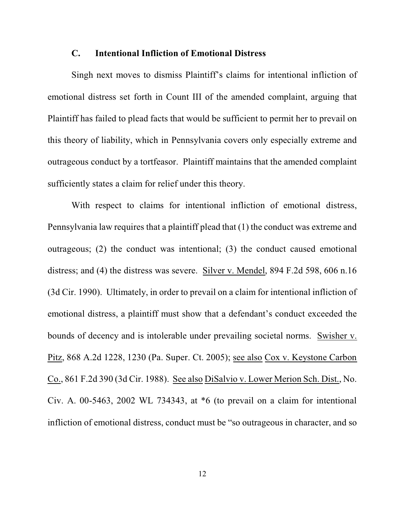### **C. Intentional Infliction of Emotional Distress**

Singh next moves to dismiss Plaintiff's claims for intentional infliction of emotional distress set forth in Count III of the amended complaint, arguing that Plaintiff has failed to plead facts that would be sufficient to permit her to prevail on this theory of liability, which in Pennsylvania covers only especially extreme and outrageous conduct by a tortfeasor. Plaintiff maintains that the amended complaint sufficiently states a claim for relief under this theory.

With respect to claims for intentional infliction of emotional distress, Pennsylvania law requires that a plaintiff plead that (1) the conduct was extreme and outrageous; (2) the conduct was intentional; (3) the conduct caused emotional distress; and (4) the distress was severe. Silver v. Mendel, 894 F.2d 598, 606 n.16 (3d Cir. 1990). Ultimately, in order to prevail on a claim for intentional infliction of emotional distress, a plaintiff must show that a defendant's conduct exceeded the bounds of decency and is intolerable under prevailing societal norms. Swisher v. Pitz, 868 A.2d 1228, 1230 (Pa. Super. Ct. 2005); see also Cox v. Keystone Carbon Co., 861 F.2d 390 (3d Cir. 1988). See also DiSalvio v. Lower Merion Sch. Dist., No. Civ. A. 00-5463, 2002 WL 734343, at \*6 (to prevail on a claim for intentional infliction of emotional distress, conduct must be "so outrageous in character, and so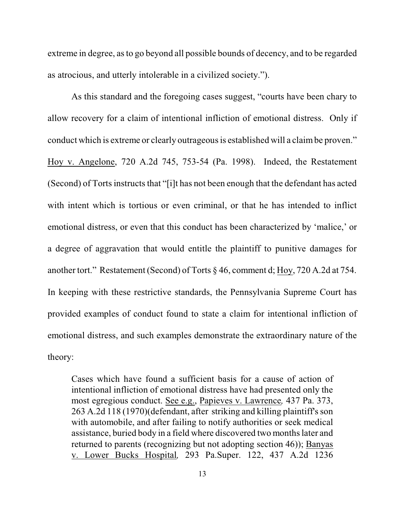extreme in degree, asto go beyond all possible bounds of decency, and to be regarded as atrocious, and utterly intolerable in a civilized society.").

As this standard and the foregoing cases suggest, "courts have been chary to allow recovery for a claim of intentional infliction of emotional distress. Only if conduct which is extreme or clearly outrageous is established will a claimbe proven." Hoy v. Angelone, 720 A.2d 745, 753-54 (Pa. 1998). Indeed, the Restatement (Second) of Torts instructs that "[i]t has not been enough that the defendant has acted with intent which is tortious or even criminal, or that he has intended to inflict emotional distress, or even that this conduct has been characterized by 'malice,' or a degree of aggravation that would entitle the plaintiff to punitive damages for another tort." Restatement (Second) of Torts § 46, comment d; Hoy, 720 A.2d at 754. In keeping with these restrictive standards, the Pennsylvania Supreme Court has provided examples of conduct found to state a claim for intentional infliction of emotional distress, and such examples demonstrate the extraordinary nature of the theory:

Cases which have found a sufficient basis for a cause of action of intentional infliction of emotional distress have had presented only the most egregious conduct. See e.g., Papieves v. Lawrence*,* 437 Pa. 373, 263 A.2d 118 (1970)(defendant, after striking and killing plaintiff's son with automobile, and after failing to notify authorities or seek medical assistance, buried body in a field where discovered two months later and returned to parents (recognizing but not adopting section 46)); Banyas v. Lower Bucks Hospital*,* 293 Pa.Super. 122, 437 A.2d 1236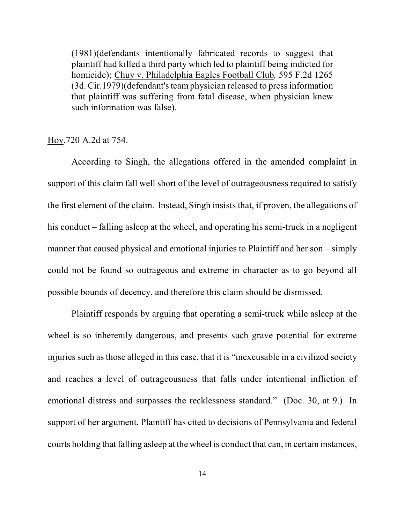(1981)(defendants intentionally fabricated records to suggest that plaintiff had killed a third party which led to plaintiff being indicted for homicide); Chuy v. Philadelphia Eagles Football Club*,* 595 F.2d 1265 (3d. Cir.1979)(defendant's team physician released to press information that plaintiff was suffering from fatal disease, when physician knew such information was false).

### Hoy,720 A.2d at 754.

According to Singh, the allegations offered in the amended complaint in support of this claim fall well short of the level of outrageousness required to satisfy the first element of the claim. Instead, Singh insists that, if proven, the allegations of his conduct – falling asleep at the wheel, and operating his semi-truck in a negligent manner that caused physical and emotional injuries to Plaintiff and her son – simply could not be found so outrageous and extreme in character as to go beyond all possible bounds of decency, and therefore this claim should be dismissed.

Plaintiff responds by arguing that operating a semi-truck while asleep at the wheel is so inherently dangerous, and presents such grave potential for extreme injuries such as those alleged in this case, that it is "inexcusable in a civilized society and reaches a level of outrageousness that falls under intentional infliction of emotional distress and surpasses the recklessness standard." (Doc. 30, at 9.) In support of her argument, Plaintiff has cited to decisions of Pennsylvania and federal courts holding that falling asleep at the wheel is conduct that can, in certain instances,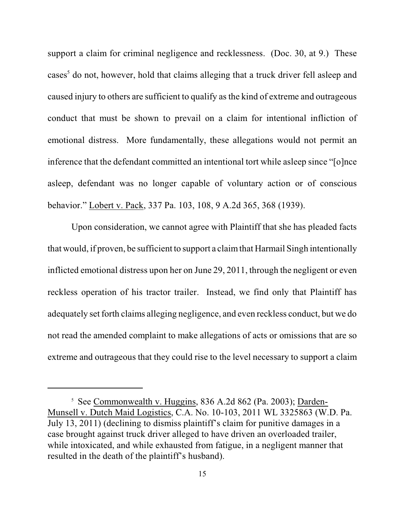support a claim for criminal negligence and recklessness. (Doc. 30, at 9.) These cases<sup>5</sup> do not, however, hold that claims alleging that a truck driver fell asleep and caused injury to others are sufficient to qualify as the kind of extreme and outrageous conduct that must be shown to prevail on a claim for intentional infliction of emotional distress. More fundamentally, these allegations would not permit an inference that the defendant committed an intentional tort while asleep since "[o]nce asleep, defendant was no longer capable of voluntary action or of conscious behavior." Lobert v. Pack, 337 Pa. 103, 108, 9 A.2d 365, 368 (1939).

Upon consideration, we cannot agree with Plaintiff that she has pleaded facts that would, if proven, be sufficient to support a claimthat Harmail Singh intentionally inflicted emotional distress upon her on June 29, 2011, through the negligent or even reckless operation of his tractor trailer. Instead, we find only that Plaintiff has adequately set forth claims alleging negligence, and even reckless conduct, but we do not read the amended complaint to make allegations of acts or omissions that are so extreme and outrageous that they could rise to the level necessary to support a claim

<sup>&</sup>lt;sup>5</sup> See Commonwealth v. Huggins, 836 A.2d 862 (Pa. 2003); Darden-Munsell v. Dutch Maid Logistics, C.A. No. 10-103, 2011 WL 3325863 (W.D. Pa. July 13, 2011) (declining to dismiss plaintiff's claim for punitive damages in a case brought against truck driver alleged to have driven an overloaded trailer, while intoxicated, and while exhausted from fatigue, in a negligent manner that resulted in the death of the plaintiff's husband).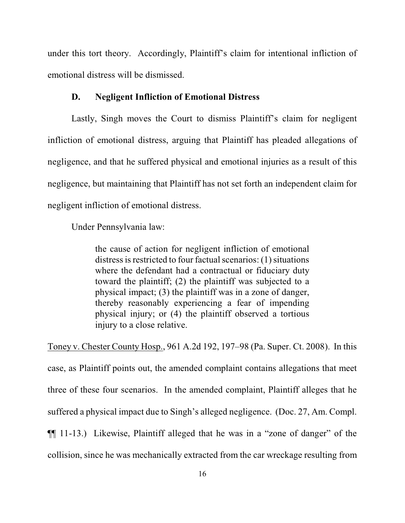under this tort theory. Accordingly, Plaintiff's claim for intentional infliction of emotional distress will be dismissed.

#### **D. Negligent Infliction of Emotional Distress**

Lastly, Singh moves the Court to dismiss Plaintiff's claim for negligent infliction of emotional distress, arguing that Plaintiff has pleaded allegations of negligence, and that he suffered physical and emotional injuries as a result of this negligence, but maintaining that Plaintiff has not set forth an independent claim for negligent infliction of emotional distress.

Under Pennsylvania law:

the cause of action for negligent infliction of emotional distress is restricted to four factual scenarios: (1) situations where the defendant had a contractual or fiduciary duty toward the plaintiff; (2) the plaintiff was subjected to a physical impact; (3) the plaintiff was in a zone of danger, thereby reasonably experiencing a fear of impending physical injury; or (4) the plaintiff observed a tortious injury to a close relative.

Toney v. Chester County Hosp., 961 A.2d 192, 197–98 (Pa. Super. Ct. 2008). In this case, as Plaintiff points out, the amended complaint contains allegations that meet three of these four scenarios. In the amended complaint, Plaintiff alleges that he suffered a physical impact due to Singh's alleged negligence. (Doc. 27, Am. Compl. ¶¶ 11-13.) Likewise, Plaintiff alleged that he was in a "zone of danger" of the collision, since he was mechanically extracted from the car wreckage resulting from